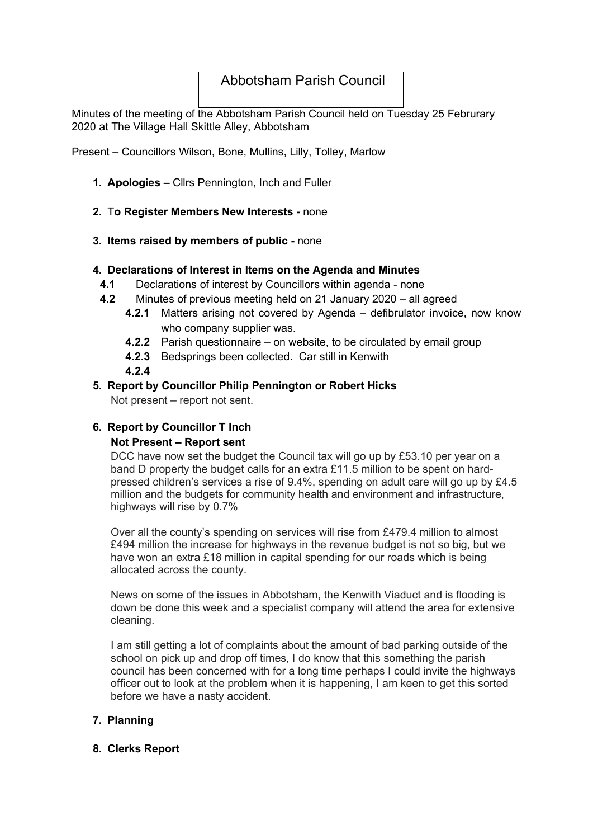# Abbotsham Parish Council

Minutes of the meeting of the Abbotsham Parish Council held on Tuesday 25 Februrary 2020 at The Village Hall Skittle Alley, Abbotsham

Present – Councillors Wilson, Bone, Mullins, Lilly, Tolley, Marlow

- 1. Apologies Cllrs Pennington, Inch and Fuller
- 2. To Register Members New Interests none
- 3. Items raised by members of public none

#### 4. Declarations of Interest in Items on the Agenda and Minutes

- 4.1 Declarations of interest by Councillors within agenda none
- 4.2 Minutes of previous meeting held on 21 January 2020 all agreed
	- 4.2.1 Matters arising not covered by Agenda defibrulator invoice, now know who company supplier was.
	- 4.2.2 Parish questionnaire on website, to be circulated by email group
	- 4.2.3 Bedsprings been collected. Car still in Kenwith
	- 4.2.4

#### 5. Report by Councillor Philip Pennington or Robert Hicks

Not present – report not sent.

### 6. Report by Councillor T Inch

#### Not Present – Report sent

DCC have now set the budget the Council tax will go up by £53.10 per year on a band D property the budget calls for an extra £11.5 million to be spent on hardpressed children's services a rise of 9.4%, spending on adult care will go up by £4.5 million and the budgets for community health and environment and infrastructure, highways will rise by 0.7%

Over all the county's spending on services will rise from £479.4 million to almost £494 million the increase for highways in the revenue budget is not so big, but we have won an extra £18 million in capital spending for our roads which is being allocated across the county.

News on some of the issues in Abbotsham, the Kenwith Viaduct and is flooding is down be done this week and a specialist company will attend the area for extensive cleaning.

I am still getting a lot of complaints about the amount of bad parking outside of the school on pick up and drop off times, I do know that this something the parish council has been concerned with for a long time perhaps I could invite the highways officer out to look at the problem when it is happening, I am keen to get this sorted before we have a nasty accident.

### 7. Planning

#### 8. Clerks Report